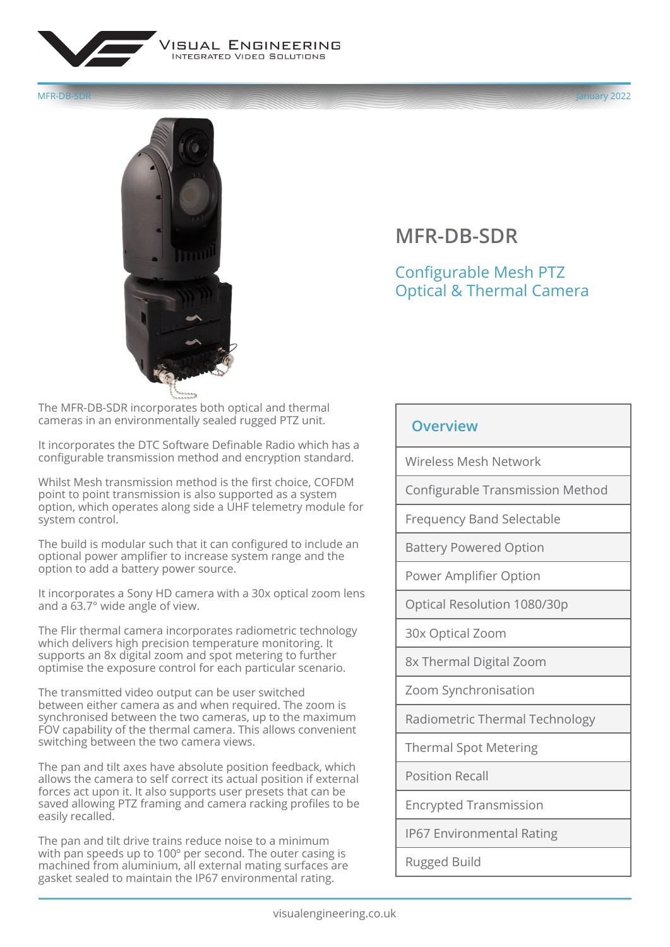

MFR-DB-SDR January 2022



**MFR-DB-SDR**

Configurable Mesh PTZ Optical & Thermal Camera

The MFR-DB-SDR incorporates both optical and thermal cameras in an environmentally sealed rugged PTZ unit.

It incorporates the DTC Software Definable Radio which has a configurable transmission method and encryption standard.

Whilst Mesh transmission method is the first choice, COFDM point to point transmission is also supported as a system option, which operates along side a UHF telemetry module for system control.

The build is modular such that it can configured to include an optional power amplifier to increase system range and the option to add a battery power source.

It incorporates a Sony HD camera with a 30x optical zoom lens and a 63.7° wide angle of view.

The Flir thermal camera incorporates radiometric technology which delivers high precision temperature monitoring. It supports an 8x digital zoom and spot metering to further optimise the exposure control for each particular scenario.

The transmitted video output can be user switched between either camera as and when required. The zoom is synchronised between the two cameras, up to the maximum FOV capability of the thermal camera. This allows convenient switching between the two camera views.

The pan and tilt axes have absolute position feedback, which allows the camera to self correct its actual position if external forces act upon it. It also supports user presets that can be saved allowing PTZ framing and camera racking profiles to be easily recalled.

The pan and tilt drive trains reduce noise to a minimum with pan speeds up to 100º per second. The outer casing is machined from aluminium, all external mating surfaces are gasket sealed to maintain the IP67 environmental rating.

## **Overview**

Wireless Mesh Network

Configurable Transmission Method

Frequency Band Selectable

Battery Powered Option

Power Amplifier Option

Optical Resolution 1080/30p

30x Optical Zoom

8x Thermal Digital Zoom

Zoom Synchronisation

Radiometric Thermal Technology

Thermal Spot Metering

Position Recall

Encrypted Transmission

IP67 Environmental Rating

Rugged Build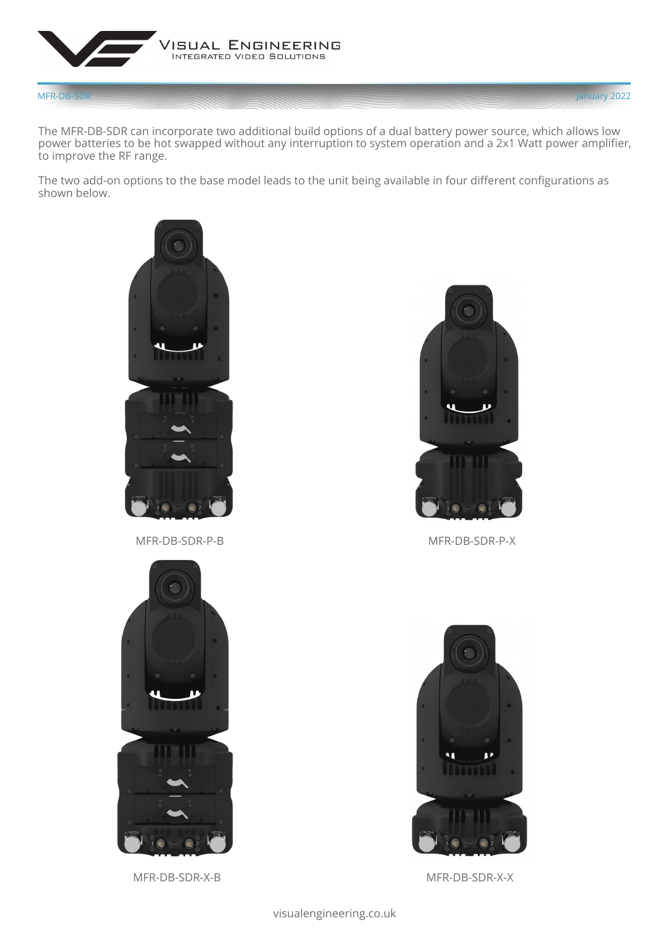

The MFR-DB-SDR can incorporate two additional build options of a dual battery power source, which allows low power batteries to be hot swapped without any interruption to system operation and a 2x1 Watt power amplifier, to improve the RF range.

The two add-on options to the base model leads to the unit being available in four different configurations as shown below.



MFR-DB-SDR-P-B MFR-DB-SDR-P-X



MFR-DB-SDR-X-B MFR-DB-SDR-X-X





visualengineering.co.uk